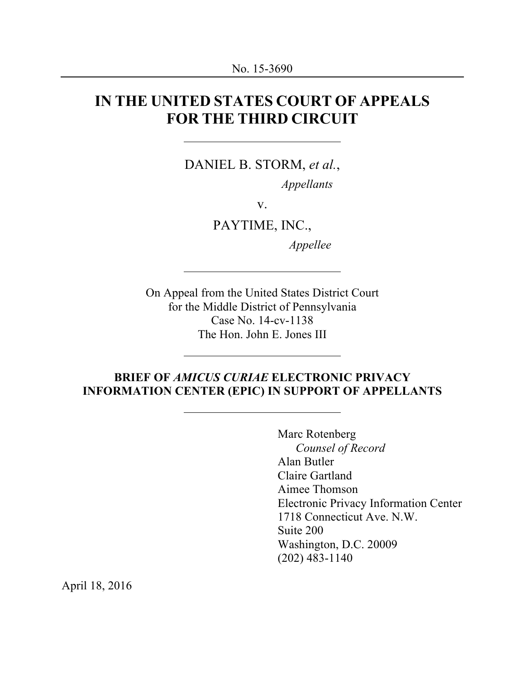# **IN THE UNITED STATES COURT OF APPEALS FOR THE THIRD CIRCUIT**

DANIEL B. STORM, *et al.*,

*Appellants*

v.

PAYTIME, INC.,

*Appellee*

On Appeal from the United States District Court for the Middle District of Pennsylvania Case No. 14-cv-1138 The Hon. John E. Jones III

### **BRIEF OF** *AMICUS CURIAE* **ELECTRONIC PRIVACY INFORMATION CENTER (EPIC) IN SUPPORT OF APPELLANTS**

Marc Rotenberg *Counsel of Record* Alan Butler Claire Gartland Aimee Thomson Electronic Privacy Information Center 1718 Connecticut Ave. N.W. Suite 200 Washington, D.C. 20009 (202) 483-1140

April 18, 2016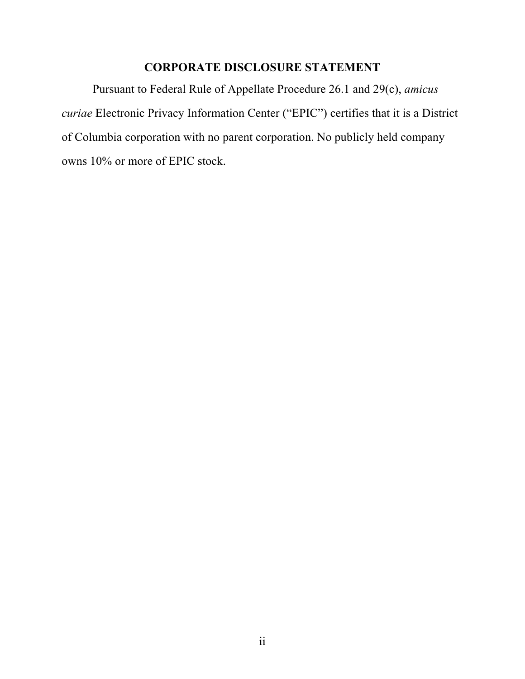# **CORPORATE DISCLOSURE STATEMENT**

Pursuant to Federal Rule of Appellate Procedure 26.1 and 29(c), *amicus curiae* Electronic Privacy Information Center ("EPIC") certifies that it is a District of Columbia corporation with no parent corporation. No publicly held company owns 10% or more of EPIC stock.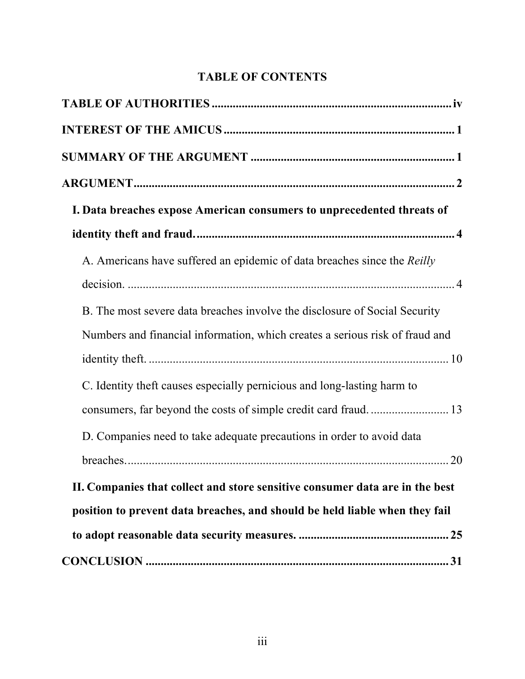# **TABLE OF CONTENTS**

| I. Data breaches expose American consumers to unprecedented threats of       |
|------------------------------------------------------------------------------|
|                                                                              |
| A. Americans have suffered an epidemic of data breaches since the Reilly     |
|                                                                              |
| B. The most severe data breaches involve the disclosure of Social Security   |
| Numbers and financial information, which creates a serious risk of fraud and |
|                                                                              |
| C. Identity theft causes especially pernicious and long-lasting harm to      |
|                                                                              |
| D. Companies need to take adequate precautions in order to avoid data        |
|                                                                              |
| II. Companies that collect and store sensitive consumer data are in the best |
| position to prevent data breaches, and should be held liable when they fail  |
|                                                                              |
|                                                                              |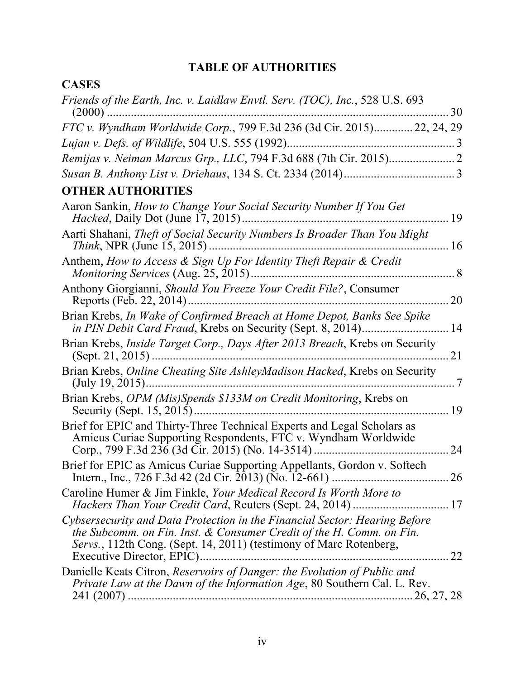# **TABLE OF AUTHORITIES**

**CASES**

| Friends of the Earth, Inc. v. Laidlaw Envtl. Serv. (TOC), Inc., 528 U.S. 693<br>$(2000)$                                                                                                                                                                 | 30  |
|----------------------------------------------------------------------------------------------------------------------------------------------------------------------------------------------------------------------------------------------------------|-----|
| FTC v. Wyndham Worldwide Corp., 799 F.3d 236 (3d Cir. 2015) 22, 24, 29                                                                                                                                                                                   |     |
| Lujan v. Defs. of Wildlife, 504 U.S. 555 (1992)                                                                                                                                                                                                          |     |
|                                                                                                                                                                                                                                                          |     |
|                                                                                                                                                                                                                                                          |     |
| <b>OTHER AUTHORITIES</b>                                                                                                                                                                                                                                 |     |
| Aaron Sankin, How to Change Your Social Security Number If You Get<br><i>Hacked</i> , Daily Dot (June 17, 2015).                                                                                                                                         | 19  |
| Aarti Shahani, Theft of Social Security Numbers Is Broader Than You Might<br><i>Think</i> , NPR (June 15, 2015)                                                                                                                                          | 16  |
| Anthem, How to Access & Sign Up For Identity Theft Repair & Credit<br><i>Monitoring Services</i> (Aug. 25, 2015)                                                                                                                                         | .8  |
| Anthony Giorgianni, Should You Freeze Your Credit File?, Consumer<br>Reports (Feb. 22, 2014).                                                                                                                                                            | 20  |
| Brian Krebs, In Wake of Confirmed Breach at Home Depot, Banks See Spike<br>in PIN Debit Card Fraud, Krebs on Security (Sept. 8, 2014)                                                                                                                    | 14  |
| Brian Krebs, <i>Inside Target Corp., Days After 2013 Breach</i> , Krebs on Security<br>(Sept. 21, 2015)                                                                                                                                                  | 21  |
| Brian Krebs, Online Cheating Site AshleyMadison Hacked, Krebs on Security<br>(July 19, 2015)                                                                                                                                                             | . 7 |
| Brian Krebs, OPM (Mis)Spends \$133M on Credit Monitoring, Krebs on<br>Security (Sept. 15, 2015)                                                                                                                                                          | 19  |
| Brief for EPIC and Thirty-Three Technical Experts and Legal Scholars as<br>Amicus Curiae Supporting Respondents, FTC v. Wyndham Worldwide<br>Corp., 799 F.3d 236 (3d Cir. 2015) (No. 14-3514)                                                            | 24  |
| Brief for EPIC as Amicus Curiae Supporting Appellants, Gordon v. Softech                                                                                                                                                                                 |     |
| Caroline Humer & Jim Finkle, Your Medical Record Is Worth More to<br>Hackers Than Your Credit Card, Reuters (Sept. 24, 2014)  17                                                                                                                         |     |
| Cybsersecurity and Data Protection in the Financial Sector: Hearing Before<br>the Subcomm. on Fin. Inst. $&$ Consumer Credit of the H. Comm. on Fin.<br>Servs., 112th Cong. (Sept. 14, 2011) (testimony of Marc Rotenberg,<br>Executive Director, EPIC). | 22  |
| Danielle Keats Citron, Reservoirs of Danger: the Evolution of Public and<br>Private Law at the Dawn of the Information Age, 80 Southern Cal. L. Rev.                                                                                                     |     |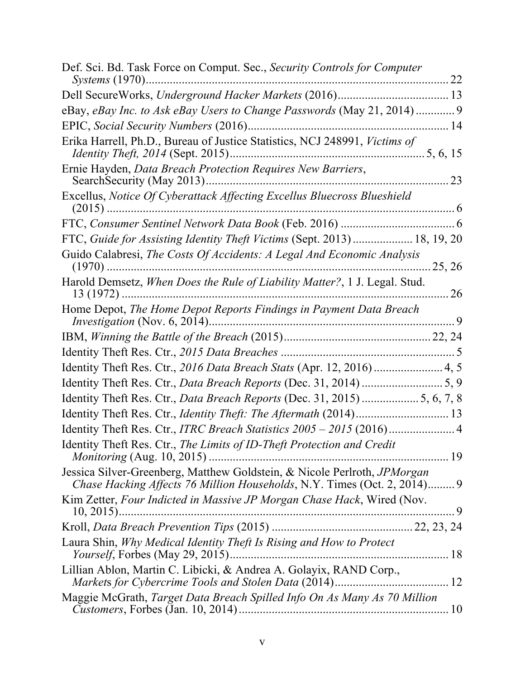| Def. Sci. Bd. Task Force on Comput. Sec., Security Controls for Computer<br>22                                                                       |
|------------------------------------------------------------------------------------------------------------------------------------------------------|
|                                                                                                                                                      |
|                                                                                                                                                      |
|                                                                                                                                                      |
| Erika Harrell, Ph.D., Bureau of Justice Statistics, NCJ 248991, Victims of                                                                           |
| Ernie Hayden, Data Breach Protection Requires New Barriers,<br>23                                                                                    |
| Excellus, Notice Of Cyberattack Affecting Excellus Bluecross Blueshield                                                                              |
|                                                                                                                                                      |
| FTC, Guide for Assisting Identity Theft Victims (Sept. 2013)  18, 19, 20                                                                             |
| Guido Calabresi, The Costs Of Accidents: A Legal And Economic Analysis<br>25, 26                                                                     |
| Harold Demsetz, When Does the Rule of Liability Matter?, 1 J. Legal. Stud.<br>26                                                                     |
| Home Depot, The Home Depot Reports Findings in Payment Data Breach<br>9                                                                              |
|                                                                                                                                                      |
|                                                                                                                                                      |
|                                                                                                                                                      |
|                                                                                                                                                      |
| Identity Theft Res. Ctr., Data Breach Reports (Dec. 31, 2015)  5, 6, 7, 8                                                                            |
|                                                                                                                                                      |
| Identity Theft Res. Ctr., ITRC Breach Statistics 2005 - 2015 (2016) 4                                                                                |
| Identity Theft Res. Ctr., The Limits of ID-Theft Protection and Credit<br><i>Monitoring</i> (Aug. 10, 2015)                                          |
| Jessica Silver-Greenberg, Matthew Goldstein, & Nicole Perlroth, JPMorgan<br>Chase Hacking Affects 76 Million Households, N.Y. Times (Oct. 2, 2014) 9 |
| Kim Zetter, Four Indicted in Massive JP Morgan Chase Hack, Wired (Nov.<br>9<br>$10, 2015$                                                            |
|                                                                                                                                                      |
| Laura Shin, Why Medical Identity Theft Is Rising and How to Protect<br><i>Yourself</i> , Forbes (May 29, 2015)                                       |
| Lillian Ablon, Martin C. Libicki, & Andrea A. Golayix, RAND Corp.,                                                                                   |
| Maggie McGrath, Target Data Breach Spilled Info On As Many As 70 Million                                                                             |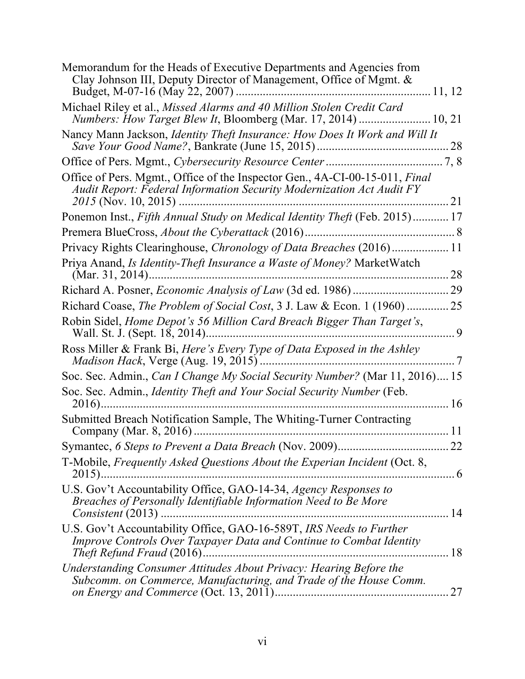| Memorandum for the Heads of Executive Departments and Agencies from<br>Clay Johnson III, Deputy Director of Management, Office of Mgmt. &                                           |            |
|-------------------------------------------------------------------------------------------------------------------------------------------------------------------------------------|------------|
|                                                                                                                                                                                     |            |
| Michael Riley et al., Missed Alarms and 40 Million Stolen Credit Card<br>Numbers: How Target Blew It, Bloomberg (Mar. 17, 2014)  10, 21                                             |            |
| Nancy Mann Jackson, <i>Identity Theft Insurance: How Does It Work and Will It</i>                                                                                                   | 28         |
|                                                                                                                                                                                     |            |
| Office of Pers. Mgmt., Office of the Inspector Gen., 4A-CI-00-15-011, Final<br><b>Audit Report: Federal Information Security Modernization Act Audit FY</b><br>2015 (Nov. 10, 2015) | 21         |
| Ponemon Inst., Fifth Annual Study on Medical Identity Theft (Feb. 2015) 17                                                                                                          |            |
| Premera BlueCross, About the Cyberattack (2016)                                                                                                                                     |            |
| Privacy Rights Clearinghouse, <i>Chronology of Data Breaches</i> (2016) 11                                                                                                          |            |
| Priya Anand, Is Identity-Theft Insurance a Waste of Money? MarketWatch                                                                                                              | 28         |
|                                                                                                                                                                                     |            |
| Richard Coase, The Problem of Social Cost, 3 J. Law & Econ. 1 (1960)  25                                                                                                            |            |
| Robin Sidel, Home Depot's 56 Million Card Breach Bigger Than Target's,<br>Wall. St. J. (Sept. 18, 2014)                                                                             | 9          |
| Ross Miller & Frank Bi, Here's Every Type of Data Exposed in the Ashley<br><i>Madison Hack</i> , Verge (Aug. 19, 2015)                                                              | $\sqrt{7}$ |
| Soc. Sec. Admin., Can I Change My Social Security Number? (Mar 11, 2016) 15                                                                                                         |            |
| Soc. Sec. Admin., Identity Theft and Your Social Security Number (Feb.<br>$2016)$                                                                                                   | 16         |
| Submitted Breach Notification Sample, The Whiting-Turner Contracting                                                                                                                | 11         |
|                                                                                                                                                                                     |            |
| T-Mobile, Frequently Asked Questions About the Experian Incident (Oct. 8,<br>$2015)$                                                                                                | . 6        |
| U.S. Gov't Accountability Office, GAO-14-34, Agency Responses to<br>Breaches of Personally Identifiable Information Need to Be More                                                 | 14         |
| U.S. Gov't Accountability Office, GAO-16-589T, IRS Needs to Further<br>Improve Controls Over Taxpayer Data and Continue to Combat Identity                                          | 18         |
| Understanding Consumer Attitudes About Privacy: Hearing Before the<br>Subcomm. on Commerce, Manufacturing, and Trade of the House Comm.                                             | 27         |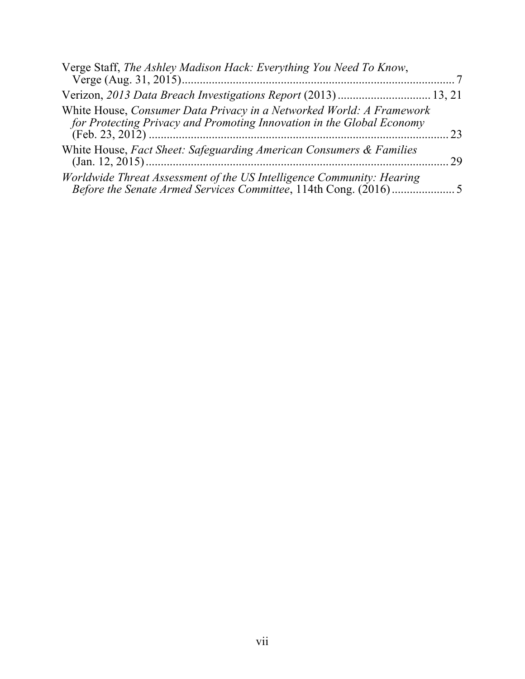| Verge Staff, The Ashley Madison Hack: Everything You Need To Know,                                                                            |    |
|-----------------------------------------------------------------------------------------------------------------------------------------------|----|
| Verizon, 2013 Data Breach Investigations Report (2013)  13, 21                                                                                |    |
| White House, Consumer Data Privacy in a Networked World: A Framework<br>for Protecting Privacy and Promoting Innovation in the Global Economy | 23 |
| White House, Fact Sheet: Safeguarding American Consumers & Families                                                                           | 29 |
| Worldwide Threat Assessment of the US Intelligence Community: Hearing                                                                         |    |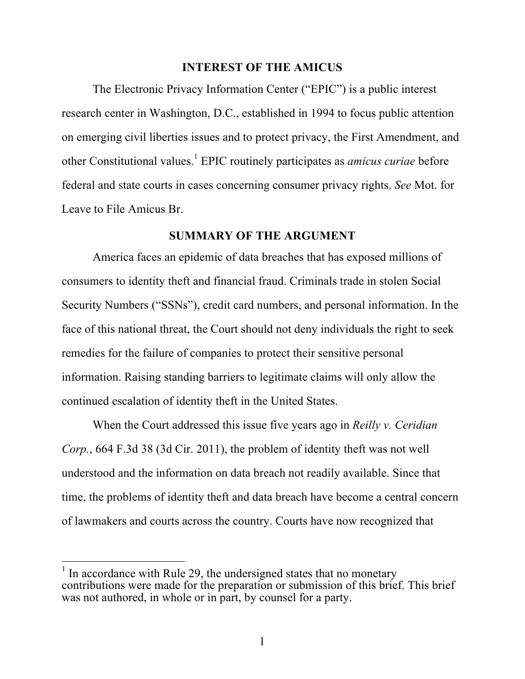#### **INTEREST OF THE AMICUS**

The Electronic Privacy Information Center ("EPIC") is a public interest research center in Washington, D.C., established in 1994 to focus public attention on emerging civil liberties issues and to protect privacy, the First Amendment, and other Constitutional values.<sup>1</sup> EPIC routinely participates as *amicus curiae* before federal and state courts in cases concerning consumer privacy rights. *See* Mot. for Leave to File Amicus Br.

#### **SUMMARY OF THE ARGUMENT**

America faces an epidemic of data breaches that has exposed millions of consumers to identity theft and financial fraud. Criminals trade in stolen Social Security Numbers ("SSNs"), credit card numbers, and personal information. In the face of this national threat, the Court should not deny individuals the right to seek remedies for the failure of companies to protect their sensitive personal information. Raising standing barriers to legitimate claims will only allow the continued escalation of identity theft in the United States.

When the Court addressed this issue five years ago in *Reilly v. Ceridian Corp.*, 664 F.3d 38 (3d Cir. 2011), the problem of identity theft was not well understood and the information on data breach not readily available. Since that time, the problems of identity theft and data breach have become a central concern of lawmakers and courts across the country. Courts have now recognized that

 $\overline{a}$ 

 $<sup>1</sup>$  In accordance with Rule 29, the undersigned states that no monetary</sup> contributions were made for the preparation or submission of this brief. This brief was not authored, in whole or in part, by counsel for a party.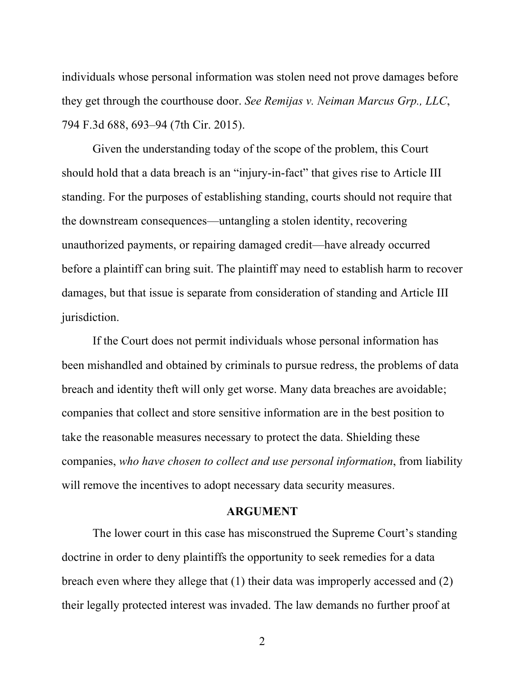individuals whose personal information was stolen need not prove damages before they get through the courthouse door. *See Remijas v. Neiman Marcus Grp., LLC*, 794 F.3d 688, 693–94 (7th Cir. 2015).

Given the understanding today of the scope of the problem, this Court should hold that a data breach is an "injury-in-fact" that gives rise to Article III standing. For the purposes of establishing standing, courts should not require that the downstream consequences—untangling a stolen identity, recovering unauthorized payments, or repairing damaged credit—have already occurred before a plaintiff can bring suit. The plaintiff may need to establish harm to recover damages, but that issue is separate from consideration of standing and Article III jurisdiction.

If the Court does not permit individuals whose personal information has been mishandled and obtained by criminals to pursue redress, the problems of data breach and identity theft will only get worse. Many data breaches are avoidable; companies that collect and store sensitive information are in the best position to take the reasonable measures necessary to protect the data. Shielding these companies, *who have chosen to collect and use personal information*, from liability will remove the incentives to adopt necessary data security measures.

#### **ARGUMENT**

The lower court in this case has misconstrued the Supreme Court's standing doctrine in order to deny plaintiffs the opportunity to seek remedies for a data breach even where they allege that (1) their data was improperly accessed and (2) their legally protected interest was invaded. The law demands no further proof at

2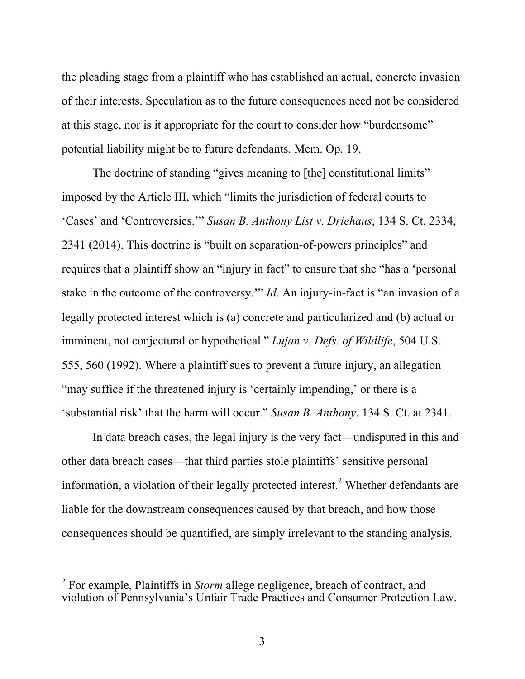the pleading stage from a plaintiff who has established an actual, concrete invasion of their interests. Speculation as to the future consequences need not be considered at this stage, nor is it appropriate for the court to consider how "burdensome" potential liability might be to future defendants. Mem. Op. 19.

The doctrine of standing "gives meaning to [the] constitutional limits" imposed by the Article III, which "limits the jurisdiction of federal courts to 'Cases' and 'Controversies.'" *Susan B. Anthony List v. Driehaus*, 134 S. Ct. 2334, 2341 (2014). This doctrine is "built on separation-of-powers principles" and requires that a plaintiff show an "injury in fact" to ensure that she "has a 'personal stake in the outcome of the controversy.'" *Id*. An injury-in-fact is "an invasion of a legally protected interest which is (a) concrete and particularized and (b) actual or imminent, not conjectural or hypothetical." *Lujan v. Defs. of Wildlife*, 504 U.S. 555, 560 (1992). Where a plaintiff sues to prevent a future injury, an allegation "may suffice if the threatened injury is 'certainly impending,' or there is a 'substantial risk' that the harm will occur." *Susan B. Anthony*, 134 S. Ct. at 2341.

In data breach cases, the legal injury is the very fact—undisputed in this and other data breach cases—that third parties stole plaintiffs' sensitive personal information, a violation of their legally protected interest.<sup>2</sup> Whether defendants are liable for the downstream consequences caused by that breach, and how those consequences should be quantified, are simply irrelevant to the standing analysis.

<sup>2</sup> For example, Plaintiffs in *Storm* allege negligence, breach of contract, and violation of Pennsylvania's Unfair Trade Practices and Consumer Protection Law.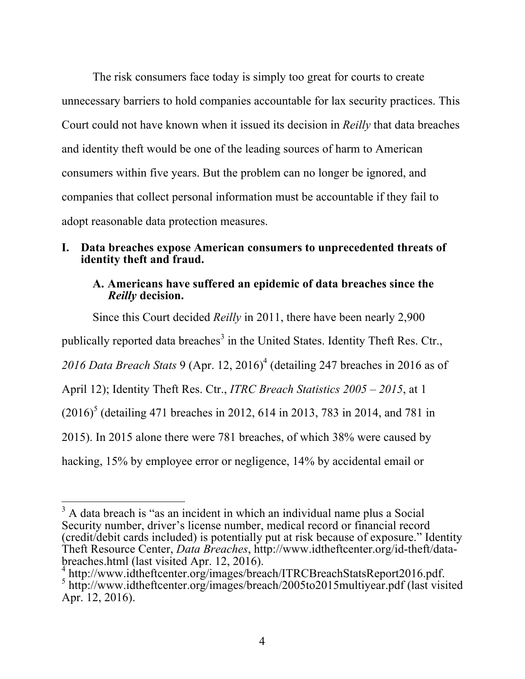The risk consumers face today is simply too great for courts to create unnecessary barriers to hold companies accountable for lax security practices. This Court could not have known when it issued its decision in *Reilly* that data breaches and identity theft would be one of the leading sources of harm to American consumers within five years. But the problem can no longer be ignored, and companies that collect personal information must be accountable if they fail to adopt reasonable data protection measures.

#### **I. Data breaches expose American consumers to unprecedented threats of identity theft and fraud.**

#### **A. Americans have suffered an epidemic of data breaches since the**  *Reilly* **decision.**

Since this Court decided *Reilly* in 2011, there have been nearly 2,900 publically reported data breaches<sup>3</sup> in the United States. Identity Theft Res. Ctr., *2016 Data Breach Stats* 9 (Apr. 12, 2016)4 (detailing 247 breaches in 2016 as of April 12); Identity Theft Res. Ctr., *ITRC Breach Statistics 2005 – 2015*, at 1  $(2016)^5$  (detailing 471 breaches in 2012, 614 in 2013, 783 in 2014, and 781 in 2015). In 2015 alone there were 781 breaches, of which 38% were caused by hacking, 15% by employee error or negligence, 14% by accidental email or

 $\overline{\phantom{a}}$  $3$  A data breach is "as an incident in which an individual name plus a Social Security number, driver's license number, medical record or financial record (credit/debit cards included) is potentially put at risk because of exposure." Identity Theft Resource Center, *Data Breaches*, http://www.idtheftcenter.org/id-theft/databreaches.html (last visited Apr. 12, 2016).<br>
<sup>4</sup> http://www.idtheftcenter.org/images/breach/ITRCBreachStatsReport2016.pdf.

 $5$  http://www.idtheftcenter.org/images/breach/2005to2015multiyear.pdf (last visited Apr. 12, 2016).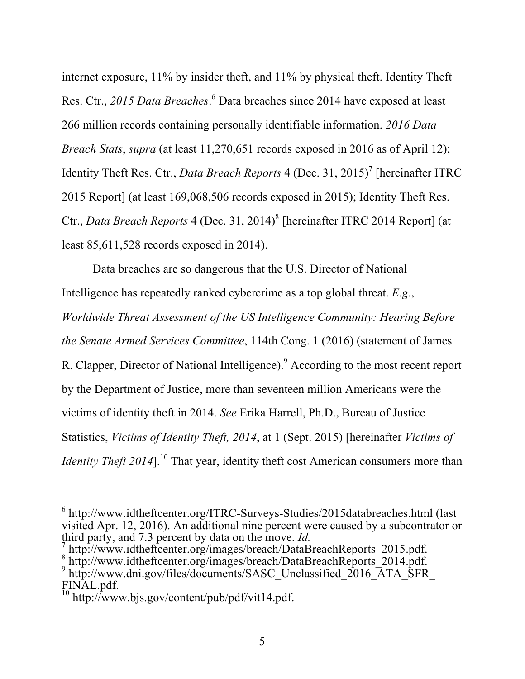internet exposure, 11% by insider theft, and 11% by physical theft. Identity Theft Res. Ctr., *2015 Data Breaches*. <sup>6</sup> Data breaches since 2014 have exposed at least 266 million records containing personally identifiable information. *2016 Data Breach Stats*, *supra* (at least 11,270,651 records exposed in 2016 as of April 12); Identity Theft Res. Ctr., *Data Breach Reports* 4 (Dec. 31, 2015)<sup>7</sup> [hereinafter ITRC] 2015 Report] (at least 169,068,506 records exposed in 2015); Identity Theft Res. Ctr., *Data Breach Reports* 4 (Dec. 31, 2014)8 [hereinafter ITRC 2014 Report] (at least 85,611,528 records exposed in 2014).

Data breaches are so dangerous that the U.S. Director of National Intelligence has repeatedly ranked cybercrime as a top global threat. *E.g.*, *Worldwide Threat Assessment of the US Intelligence Community: Hearing Before the Senate Armed Services Committee*, 114th Cong. 1 (2016) (statement of James R. Clapper, Director of National Intelligence).<sup>9</sup> According to the most recent report by the Department of Justice, more than seventeen million Americans were the victims of identity theft in 2014. *See* Erika Harrell, Ph.D., Bureau of Justice Statistics, *Victims of Identity Theft, 2014*, at 1 (Sept. 2015) [hereinafter *Victims of Identity Theft 2014*].<sup>10</sup> That year, identity theft cost American consumers more than

<sup>6</sup> http://www.idtheftcenter.org/ITRC-Surveys-Studies/2015databreaches.html (last visited Apr. 12, 2016). An additional nine percent were caused by a subcontrator or third party, and 7.3 percent by data on the move. *Id*.<br><sup>7</sup> http://www.idtheftcenter.org/images/breach/DataBreachReports 2015.pdf.

<sup>8</sup> http://www.idtheftcenter.org/images/breach/DataBreachReports\_2014.pdf.<br>
9 http://www.dni.gov/files/documents/SASC\_Unclassified\_2016\_ATA\_SFR

FINAL.pdf.

 $10$  http://www.bjs.gov/content/pub/pdf/vit14.pdf.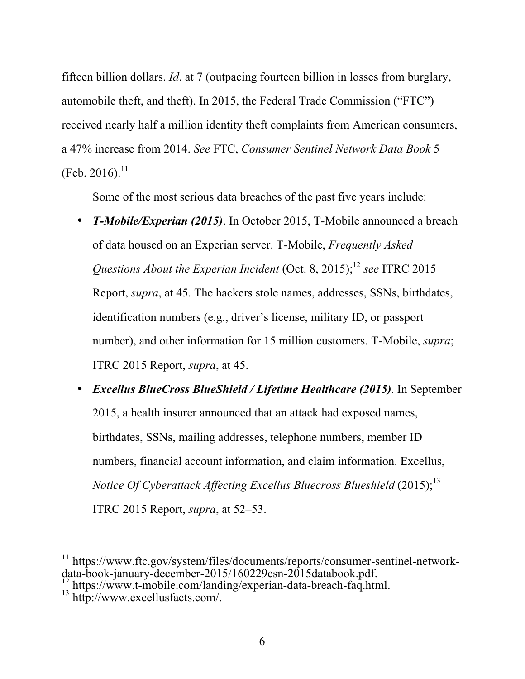fifteen billion dollars. *Id*. at 7 (outpacing fourteen billion in losses from burglary, automobile theft, and theft). In 2015, the Federal Trade Commission ("FTC") received nearly half a million identity theft complaints from American consumers, a 47% increase from 2014. *See* FTC, *Consumer Sentinel Network Data Book* 5 (Feb. 2016).<sup>11</sup>

Some of the most serious data breaches of the past five years include:

- *T-Mobile/Experian (2015)*. In October 2015, T-Mobile announced a breach of data housed on an Experian server. T-Mobile, *Frequently Asked Questions About the Experian Incident* (Oct. 8, 2015); 12 *see* ITRC 2015 Report, *supra*, at 45. The hackers stole names, addresses, SSNs, birthdates, identification numbers (e.g., driver's license, military ID, or passport number), and other information for 15 million customers. T-Mobile, *supra*; ITRC 2015 Report, *supra*, at 45.
- *Excellus BlueCross BlueShield / Lifetime Healthcare (2015)*. In September 2015, a health insurer announced that an attack had exposed names, birthdates, SSNs, mailing addresses, telephone numbers, member ID numbers, financial account information, and claim information. Excellus, *Notice Of Cyberattack Affecting Excellus Bluecross Blueshield* (2015); 13 ITRC 2015 Report, *supra*, at 52–53.

 $\overline{a}$ <sup>11</sup> https://www.ftc.gov/system/files/documents/reports/consumer-sentinel-network-<br>data-book-january-december-2015/160229csn-2015databook.pdf.

 $\frac{12}{12}$  https://www.t-mobile.com/landing/experian-data-breach-faq.html.<br><sup>13</sup> http://www.excellusfacts.com/.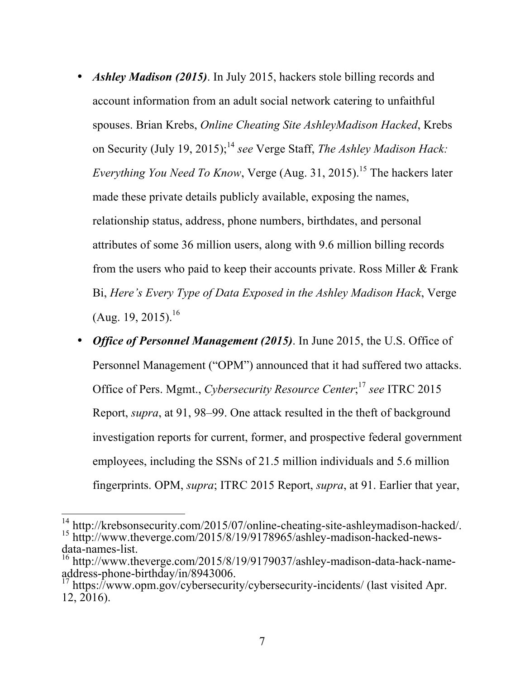- *Ashley Madison (2015)*. In July 2015, hackers stole billing records and account information from an adult social network catering to unfaithful spouses. Brian Krebs, *Online Cheating Site AshleyMadison Hacked*, Krebs on Security (July 19, 2015); 14 *see* Verge Staff, *The Ashley Madison Hack: Everything You Need To Know*, Verge (Aug. 31, 2015). <sup>15</sup> The hackers later made these private details publicly available, exposing the names, relationship status, address, phone numbers, birthdates, and personal attributes of some 36 million users, along with 9.6 million billing records from the users who paid to keep their accounts private. Ross Miller & Frank Bi, *Here's Every Type of Data Exposed in the Ashley Madison Hack*, Verge (Aug. 19, 2015).<sup>16</sup>
- *Office of Personnel Management (2015)*. In June 2015, the U.S. Office of Personnel Management ("OPM") announced that it had suffered two attacks. Office of Pers. Mgmt., *Cybersecurity Resource Center*; 17 *see* ITRC 2015 Report, *supra*, at 91, 98–99. One attack resulted in the theft of background investigation reports for current, former, and prospective federal government employees, including the SSNs of 21.5 million individuals and 5.6 million fingerprints. OPM, *supra*; ITRC 2015 Report, *supra*, at 91. Earlier that year,

 $\overline{a}$ <sup>14</sup> http://krebsonsecurity.com/2015/07/online-cheating-site-ashleymadison-hacked/. <sup>15</sup> http://www.theverge.com/2015/8/19/9178965/ashley-madison-hacked-news-<br>data-names-list.

<sup>&</sup>lt;sup>16</sup> http://www.theverge.com/2015/8/19/9179037/ashley-madison-data-hack-name-<br>address-phone-birthday/in/8943006.

https://www.opm.gov/cybersecurity/cybersecurity-incidents/ (last visited Apr. 12, 2016).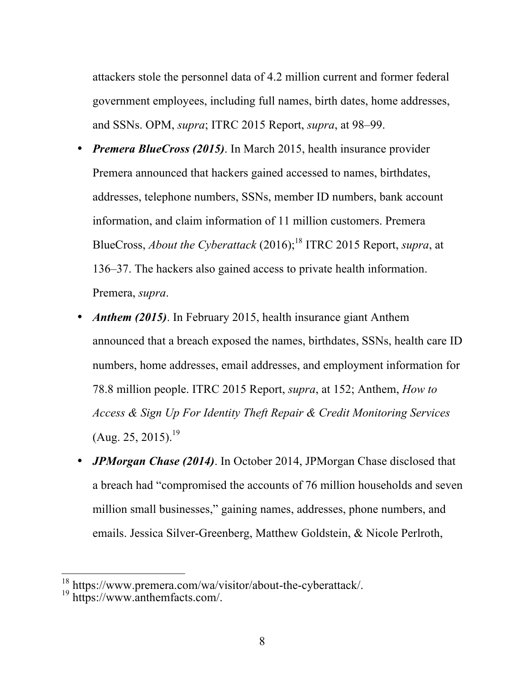attackers stole the personnel data of 4.2 million current and former federal government employees, including full names, birth dates, home addresses, and SSNs. OPM, *supra*; ITRC 2015 Report, *supra*, at 98–99.

- *Premera BlueCross (2015)*. In March 2015, health insurance provider Premera announced that hackers gained accessed to names, birthdates, addresses, telephone numbers, SSNs, member ID numbers, bank account information, and claim information of 11 million customers. Premera BlueCross, *About the Cyberattack* (2016); <sup>18</sup> ITRC 2015 Report, *supra*, at 136–37. The hackers also gained access to private health information. Premera, *supra*.
- *Anthem (2015)*. In February 2015, health insurance giant Anthem announced that a breach exposed the names, birthdates, SSNs, health care ID numbers, home addresses, email addresses, and employment information for 78.8 million people. ITRC 2015 Report, *supra*, at 152; Anthem, *How to Access & Sign Up For Identity Theft Repair & Credit Monitoring Services*  $(Aug. 25, 2015).^{19}$
- *JPMorgan Chase (2014)*. In October 2014, JPMorgan Chase disclosed that a breach had "compromised the accounts of 76 million households and seven million small businesses," gaining names, addresses, phone numbers, and emails. Jessica Silver-Greenberg, Matthew Goldstein, & Nicole Perlroth,

 $\overline{a}$ 

<sup>&</sup>lt;sup>18</sup> https://www.premera.com/wa/visitor/about-the-cyberattack/.<br><sup>19</sup> https://www.anthemfacts.com/.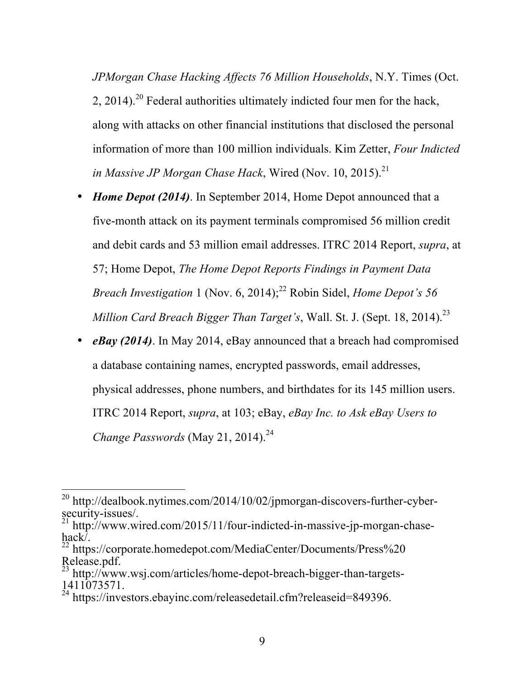*JPMorgan Chase Hacking Affects 76 Million Households*, N.Y. Times (Oct.  $2, 2014$ .<sup>20</sup> Federal authorities ultimately indicted four men for the hack, along with attacks on other financial institutions that disclosed the personal information of more than 100 million individuals. Kim Zetter, *Four Indicted in Massive JP Morgan Chase Hack*, Wired (Nov. 10, 2015). 21

- *Home Depot (2014)*. In September 2014, Home Depot announced that a five-month attack on its payment terminals compromised 56 million credit and debit cards and 53 million email addresses. ITRC 2014 Report, *supra*, at 57; Home Depot, *The Home Depot Reports Findings in Payment Data Breach Investigation* 1 (Nov. 6, 2014); <sup>22</sup> Robin Sidel, *Home Depot's 56 Million Card Breach Bigger Than Target's*, Wall. St. J. (Sept. 18, 2014). 23
- *eBay (2014)*. In May 2014, eBay announced that a breach had compromised a database containing names, encrypted passwords, email addresses, physical addresses, phone numbers, and birthdates for its 145 million users. ITRC 2014 Report, *supra*, at 103; eBay, *eBay Inc. to Ask eBay Users to Change Passwords* (May 21, 2014). 24

 $^{20}$  http://dealbook.nytimes.com/2014/10/02/jpmorgan-discovers-further-cyber- $\frac{1}{21}$  security-issues/.

<sup>21</sup> http://www.wired.com/2015/11/four-indicted-in-massive-jp-morgan-chase- $\frac{\text{hack}}{22}$  https

<sup>22</sup> https://corporate.homedepot.com/MediaCenter/Documents/Press%20 Release.pdf.

http://www.wsj.com/articles/home-depot-breach-bigger-than-targets-1411073571.

<sup>&</sup>lt;sup>24</sup> https://investors.ebayinc.com/releasedetail.cfm?releaseid=849396.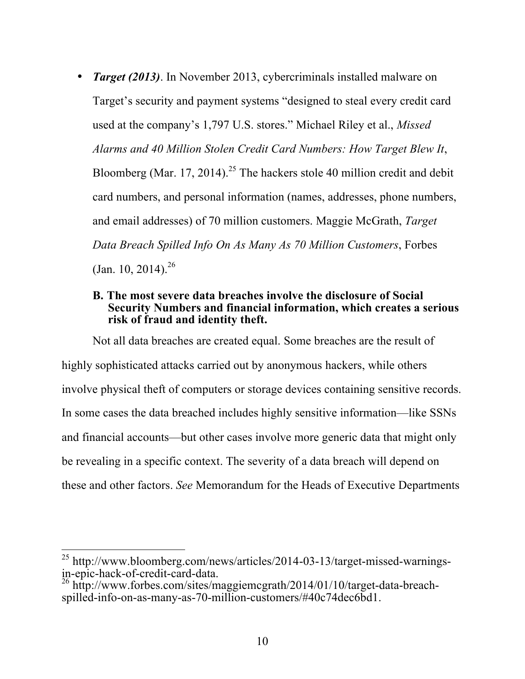• *Target (2013)*. In November 2013, cybercriminals installed malware on Target's security and payment systems "designed to steal every credit card used at the company's 1,797 U.S. stores." Michael Riley et al., *Missed Alarms and 40 Million Stolen Credit Card Numbers: How Target Blew It*, Bloomberg (Mar. 17, 2014).<sup>25</sup> The hackers stole 40 million credit and debit card numbers, and personal information (names, addresses, phone numbers, and email addresses) of 70 million customers. Maggie McGrath, *Target Data Breach Spilled Info On As Many As 70 Million Customers*, Forbes  $(Jan. 10, 2014).^{26}$ 

#### **B. The most severe data breaches involve the disclosure of Social Security Numbers and financial information, which creates a serious risk of fraud and identity theft.**

Not all data breaches are created equal. Some breaches are the result of highly sophisticated attacks carried out by anonymous hackers, while others involve physical theft of computers or storage devices containing sensitive records. In some cases the data breached includes highly sensitive information—like SSNs and financial accounts—but other cases involve more generic data that might only be revealing in a specific context. The severity of a data breach will depend on these and other factors. *See* Memorandum for the Heads of Executive Departments

 $\overline{a}$ 

<sup>&</sup>lt;sup>25</sup> http://www.bloomberg.com/news/articles/2014-03-13/target-missed-warningsin-epic-hack-of-credit-card-data.

<sup>&</sup>lt;sup>26</sup> http://www.forbes.com/sites/maggiemcgrath/2014/01/10/target-data-breachspilled-info-on-as-many-as-70-million-customers/#40c74dec6bd1.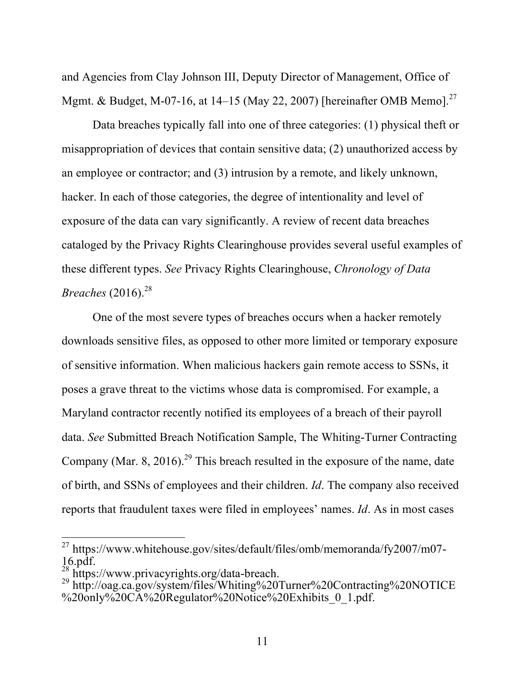and Agencies from Clay Johnson III, Deputy Director of Management, Office of Mgmt. & Budget, M-07-16, at 14–15 (May 22, 2007) [hereinafter OMB Memo].<sup>27</sup>

Data breaches typically fall into one of three categories: (1) physical theft or misappropriation of devices that contain sensitive data; (2) unauthorized access by an employee or contractor; and (3) intrusion by a remote, and likely unknown, hacker. In each of those categories, the degree of intentionality and level of exposure of the data can vary significantly. A review of recent data breaches cataloged by the Privacy Rights Clearinghouse provides several useful examples of these different types. *See* Privacy Rights Clearinghouse, *Chronology of Data Breaches* (2016). 28

One of the most severe types of breaches occurs when a hacker remotely downloads sensitive files, as opposed to other more limited or temporary exposure of sensitive information. When malicious hackers gain remote access to SSNs, it poses a grave threat to the victims whose data is compromised. For example, a Maryland contractor recently notified its employees of a breach of their payroll data. *See* Submitted Breach Notification Sample, The Whiting-Turner Contracting Company (Mar. 8, 2016).<sup>29</sup> This breach resulted in the exposure of the name, date of birth, and SSNs of employees and their children. *Id*. The company also received reports that fraudulent taxes were filed in employees' names. *Id*. As in most cases

<sup>&</sup>lt;sup>27</sup> https://www.whitehouse.gov/sites/default/files/omb/memoranda/fy2007/m07-16.pdf.

 $^{28}$ https://www.privacyrights.org/data-breach.

<sup>29</sup> http://oag.ca.gov/system/files/Whiting%20Turner%20Contracting%20NOTICE %20only%20CA%20Regulator%20Notice%20Exhibits\_0\_1.pdf.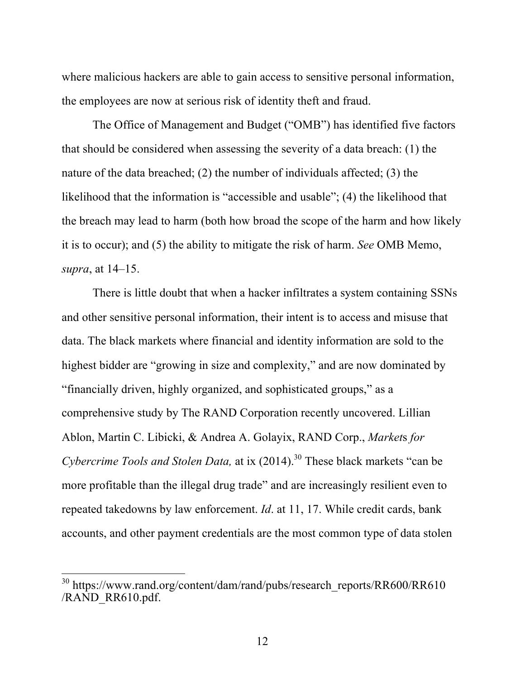where malicious hackers are able to gain access to sensitive personal information, the employees are now at serious risk of identity theft and fraud.

The Office of Management and Budget ("OMB") has identified five factors that should be considered when assessing the severity of a data breach: (1) the nature of the data breached; (2) the number of individuals affected; (3) the likelihood that the information is "accessible and usable"; (4) the likelihood that the breach may lead to harm (both how broad the scope of the harm and how likely it is to occur); and (5) the ability to mitigate the risk of harm. *See* OMB Memo, *supra*, at 14–15.

There is little doubt that when a hacker infiltrates a system containing SSNs and other sensitive personal information, their intent is to access and misuse that data. The black markets where financial and identity information are sold to the highest bidder are "growing in size and complexity," and are now dominated by "financially driven, highly organized, and sophisticated groups," as a comprehensive study by The RAND Corporation recently uncovered. Lillian Ablon, Martin C. Libicki, & Andrea A. Golayix, RAND Corp., *Market*s *for Cybercrime Tools and Stolen Data,* at ix (2014). <sup>30</sup> These black markets "can be more profitable than the illegal drug trade" and are increasingly resilient even to repeated takedowns by law enforcement. *Id*. at 11, 17. While credit cards, bank accounts, and other payment credentials are the most common type of data stolen

<sup>&</sup>lt;sup>30</sup> https://www.rand.org/content/dam/rand/pubs/research\_reports/RR600/RR610 /RAND\_RR610.pdf.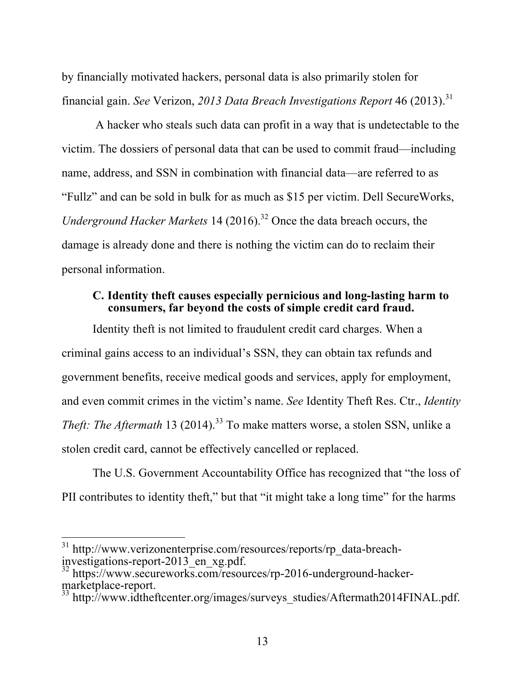by financially motivated hackers, personal data is also primarily stolen for financial gain. *See* Verizon, *2013 Data Breach Investigations Report* 46 (2013). 31

A hacker who steals such data can profit in a way that is undetectable to the victim. The dossiers of personal data that can be used to commit fraud—including name, address, and SSN in combination with financial data—are referred to as "Fullz" and can be sold in bulk for as much as \$15 per victim. Dell SecureWorks, *Underground Hacker Markets* 14 (2016). <sup>32</sup> Once the data breach occurs, the damage is already done and there is nothing the victim can do to reclaim their personal information.

#### **C. Identity theft causes especially pernicious and long-lasting harm to consumers, far beyond the costs of simple credit card fraud.**

Identity theft is not limited to fraudulent credit card charges. When a criminal gains access to an individual's SSN, they can obtain tax refunds and government benefits, receive medical goods and services, apply for employment, and even commit crimes in the victim's name. *See* Identity Theft Res. Ctr., *Identity Theft: The Aftermath* 13 (2014). <sup>33</sup> To make matters worse, a stolen SSN, unlike a stolen credit card, cannot be effectively cancelled or replaced.

The U.S. Government Accountability Office has recognized that "the loss of PII contributes to identity theft," but that "it might take a long time" for the harms

<sup>&</sup>lt;sup>31</sup> http://www.verizonenterprise.com/resources/reports/rp\_data-breachinvestigations-report-2013\_en\_xg.pdf.<br><sup>32</sup> https://www.secureworks.com/resources/rp-2016-underground-hacker-

marketplace-report.<br><sup>33</sup> http://www.idtheftcenter.org/images/surveys\_studies/Aftermath2014FINAL.pdf.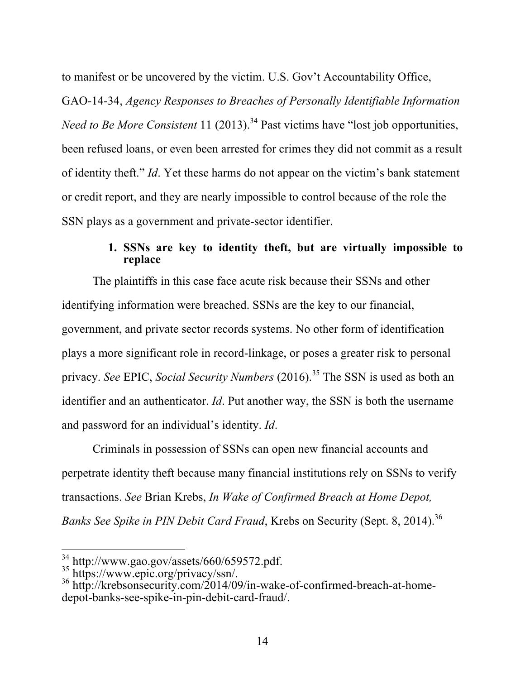to manifest or be uncovered by the victim. U.S. Gov't Accountability Office,

GAO-14-34, *Agency Responses to Breaches of Personally Identifiable Information Need to Be More Consistent* 11 (2013).<sup>34</sup> Past victims have "lost job opportunities, been refused loans, or even been arrested for crimes they did not commit as a result of identity theft." *Id*. Yet these harms do not appear on the victim's bank statement or credit report, and they are nearly impossible to control because of the role the SSN plays as a government and private-sector identifier.

## **1. SSNs are key to identity theft, but are virtually impossible to replace**

The plaintiffs in this case face acute risk because their SSNs and other identifying information were breached. SSNs are the key to our financial, government, and private sector records systems. No other form of identification plays a more significant role in record-linkage, or poses a greater risk to personal privacy. *See* EPIC, *Social Security Numbers* (2016). <sup>35</sup> The SSN is used as both an identifier and an authenticator. *Id*. Put another way, the SSN is both the username and password for an individual's identity. *Id*.

Criminals in possession of SSNs can open new financial accounts and perpetrate identity theft because many financial institutions rely on SSNs to verify transactions. *See* Brian Krebs, *In Wake of Confirmed Breach at Home Depot, Banks See Spike in PIN Debit Card Fraud*, Krebs on Security (Sept. 8, 2014). 36

 $\overline{a}$ 

<sup>&</sup>lt;sup>34</sup> http://www.gao.gov/assets/660/659572.pdf.<br><sup>35</sup> https://www.epic.org/privacy/ssn/.<br><sup>36</sup> http://krebsonsecurity.com/2014/09/in-wake-of-confirmed-breach-at-homedepot-banks-see-spike-in-pin-debit-card-fraud/.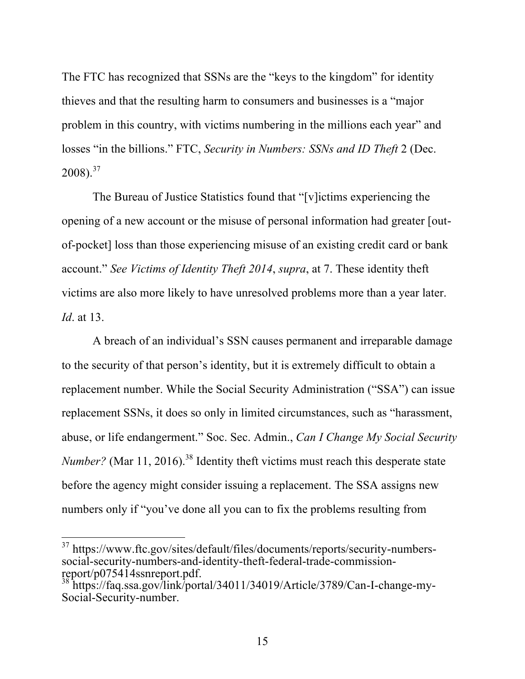The FTC has recognized that SSNs are the "keys to the kingdom" for identity thieves and that the resulting harm to consumers and businesses is a "major problem in this country, with victims numbering in the millions each year" and losses "in the billions." FTC, *Security in Numbers: SSNs and ID Theft* 2 (Dec.  $2008$ ).<sup>37</sup>

The Bureau of Justice Statistics found that "[v]ictims experiencing the opening of a new account or the misuse of personal information had greater [outof-pocket] loss than those experiencing misuse of an existing credit card or bank account." *See Victims of Identity Theft 2014*, *supra*, at 7. These identity theft victims are also more likely to have unresolved problems more than a year later. *Id*. at 13.

A breach of an individual's SSN causes permanent and irreparable damage to the security of that person's identity, but it is extremely difficult to obtain a replacement number. While the Social Security Administration ("SSA") can issue replacement SSNs, it does so only in limited circumstances, such as "harassment, abuse, or life endangerment." Soc. Sec. Admin., *Can I Change My Social Security Number?* (Mar 11, 2016).<sup>38</sup> Identity theft victims must reach this desperate state before the agency might consider issuing a replacement. The SSA assigns new numbers only if "you've done all you can to fix the problems resulting from

<sup>&</sup>lt;sup>37</sup> https://www.ftc.gov/sites/default/files/documents/reports/security-numberssocial-security-numbers-and-identity-theft-federal-trade-commissionreport/p075414ssnreport.pdf.

 $3 \text{ https://faq.ssa.gov/link/portal/34011/34019/Article/3789/Can-I-change-my-12019/Aticle/3789/Can-J-change-my-12019/Aticle/3789/Can-J-change-my-12019/Aticle/3789/Can-J-change-my-12019/Aticle/3789/Can-J-change-my-12019/Aticle/3789/Can-J-change-my-12019/Aticle/3789/Can-J-change-my-12019/Aticle/3789/Can-J-change-my-12019/Aticle/3789/Can-J-change-my-12019/Aticle/3789/Can-J-ch$ Social-Security-number.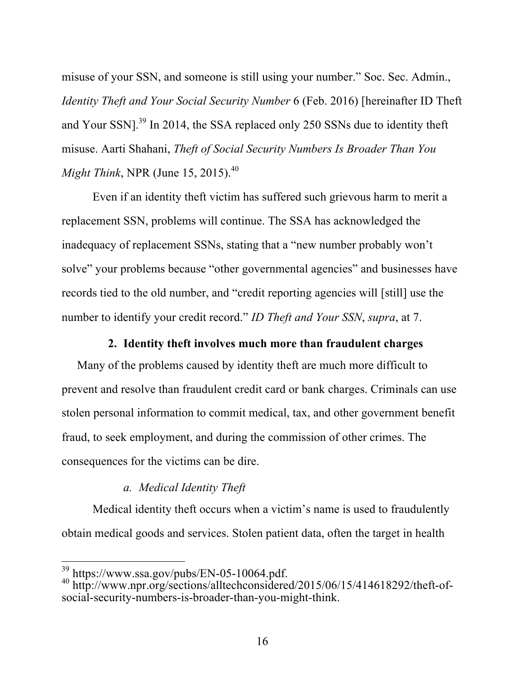misuse of your SSN, and someone is still using your number." Soc. Sec. Admin., *Identity Theft and Your Social Security Number* 6 (Feb. 2016) [hereinafter ID Theft and Your SSN].<sup>39</sup> In 2014, the SSA replaced only 250 SSNs due to identity theft misuse. Aarti Shahani, *Theft of Social Security Numbers Is Broader Than You Might Think*, NPR (June 15, 2015). 40

Even if an identity theft victim has suffered such grievous harm to merit a replacement SSN, problems will continue. The SSA has acknowledged the inadequacy of replacement SSNs, stating that a "new number probably won't solve" your problems because "other governmental agencies" and businesses have records tied to the old number, and "credit reporting agencies will [still] use the number to identify your credit record." *ID Theft and Your SSN*, *supra*, at 7.

### **2. Identity theft involves much more than fraudulent charges**

Many of the problems caused by identity theft are much more difficult to prevent and resolve than fraudulent credit card or bank charges. Criminals can use stolen personal information to commit medical, tax, and other government benefit fraud, to seek employment, and during the commission of other crimes. The consequences for the victims can be dire.

## *a. Medical Identity Theft*

Medical identity theft occurs when a victim's name is used to fraudulently obtain medical goods and services. Stolen patient data, often the target in health

 $^{39}$  https://www.ssa.gov/pubs/EN-05-10064.pdf.<br> $^{40}$  http://www.npr.org/sections/alltechconsidered/2015/06/15/414618292/theft-ofsocial-security-numbers-is-broader-than-you-might-think.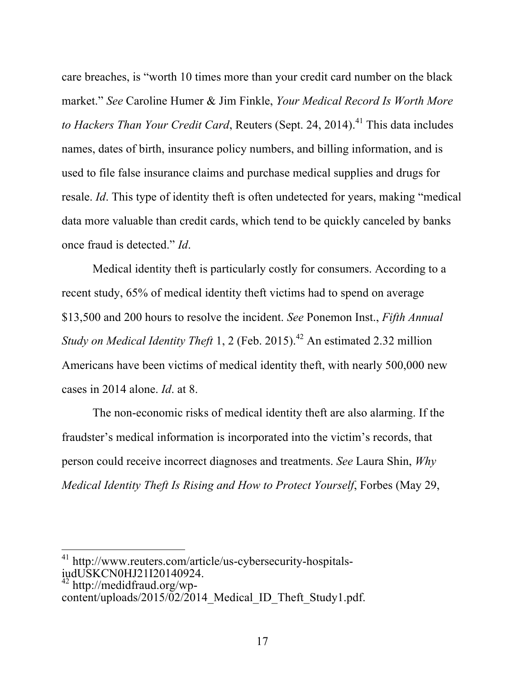care breaches, is "worth 10 times more than your credit card number on the black market." *See* Caroline Humer & Jim Finkle, *Your Medical Record Is Worth More to Hackers Than Your Credit Card*, Reuters (Sept. 24, 2014). <sup>41</sup> This data includes names, dates of birth, insurance policy numbers, and billing information, and is used to file false insurance claims and purchase medical supplies and drugs for resale. *Id*. This type of identity theft is often undetected for years, making "medical data more valuable than credit cards, which tend to be quickly canceled by banks once fraud is detected." *Id*.

Medical identity theft is particularly costly for consumers. According to a recent study, 65% of medical identity theft victims had to spend on average \$13,500 and 200 hours to resolve the incident. *See* Ponemon Inst., *Fifth Annual Study on Medical Identity Theft* 1, 2 (Feb. 2015). <sup>42</sup> An estimated 2.32 million Americans have been victims of medical identity theft, with nearly 500,000 new cases in 2014 alone. *Id*. at 8.

The non-economic risks of medical identity theft are also alarming. If the fraudster's medical information is incorporated into the victim's records, that person could receive incorrect diagnoses and treatments. *See* Laura Shin, *Why Medical Identity Theft Is Rising and How to Protect Yourself*, Forbes (May 29,

<sup>41</sup> http://www.reuters.com/article/us-cybersecurity-hospitalsiudUSKCN0HJ21I20140924.

 $42$  http://medidfraud.org/wpcontent/uploads/2015/02/2014 Medical ID Theft Study1.pdf.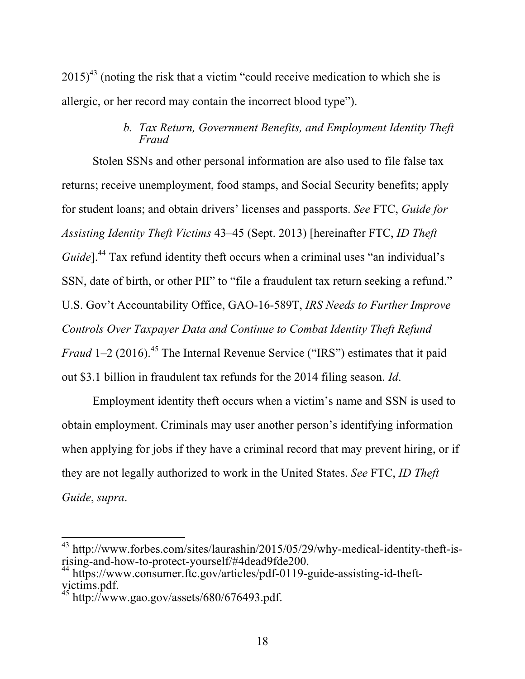$2015<sup>43</sup>$  (noting the risk that a victim "could receive medication to which she is allergic, or her record may contain the incorrect blood type").

## *b. Tax Return, Government Benefits, and Employment Identity Theft Fraud*

Stolen SSNs and other personal information are also used to file false tax returns; receive unemployment, food stamps, and Social Security benefits; apply for student loans; and obtain drivers' licenses and passports. *See* FTC, *Guide for Assisting Identity Theft Victims* 43–45 (Sept. 2013) [hereinafter FTC, *ID Theft Guide*].<sup>44</sup> Tax refund identity theft occurs when a criminal uses "an individual's SSN, date of birth, or other PII" to "file a fraudulent tax return seeking a refund." U.S. Gov't Accountability Office, GAO-16-589T, *IRS Needs to Further Improve Controls Over Taxpayer Data and Continue to Combat Identity Theft Refund Fraud* 1–2 (2016).<sup>45</sup> The Internal Revenue Service ("IRS") estimates that it paid out \$3.1 billion in fraudulent tax refunds for the 2014 filing season. *Id*.

Employment identity theft occurs when a victim's name and SSN is used to obtain employment. Criminals may user another person's identifying information when applying for jobs if they have a criminal record that may prevent hiring, or if they are not legally authorized to work in the United States. *See* FTC, *ID Theft Guide*, *supra*.

<sup>&</sup>lt;sup>43</sup> http://www.forbes.com/sites/laurashin/2015/05/29/why-medical-identity-theft-isrising-and-how-to-protect-yourself/#4dead9fde200. 44 https://www.consumer.ftc.gov/articles/pdf-0119-guide-assisting-id-theft-

victims.pdf.

http://www.gao.gov/assets/680/676493.pdf.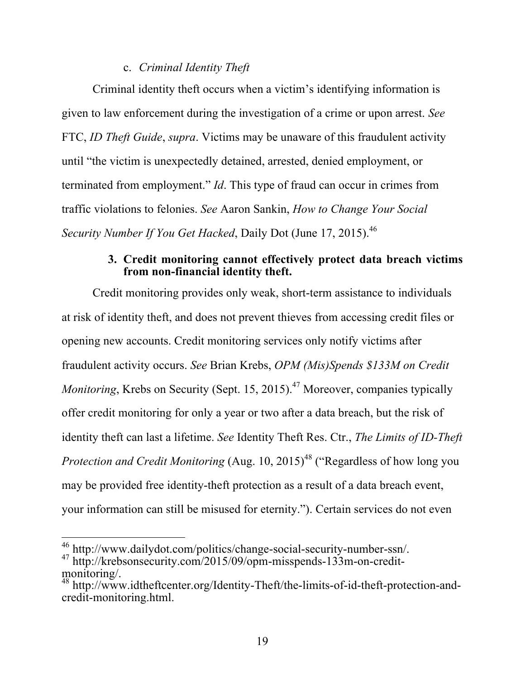#### c. *Criminal Identity Theft*

Criminal identity theft occurs when a victim's identifying information is given to law enforcement during the investigation of a crime or upon arrest. *See* FTC, *ID Theft Guide*, *supra*. Victims may be unaware of this fraudulent activity until "the victim is unexpectedly detained, arrested, denied employment, or terminated from employment." *Id*. This type of fraud can occur in crimes from traffic violations to felonies. *See* Aaron Sankin, *How to Change Your Social Security Number If You Get Hacked*, Daily Dot (June 17, 2015). 46

#### **3. Credit monitoring cannot effectively protect data breach victims from non-financial identity theft.**

Credit monitoring provides only weak, short-term assistance to individuals at risk of identity theft, and does not prevent thieves from accessing credit files or opening new accounts. Credit monitoring services only notify victims after fraudulent activity occurs. *See* Brian Krebs, *OPM (Mis)Spends \$133M on Credit Monitoring*, Krebs on Security (Sept. 15, 2015).<sup>47</sup> Moreover, companies typically offer credit monitoring for only a year or two after a data breach, but the risk of identity theft can last a lifetime. *See* Identity Theft Res. Ctr., *The Limits of ID-Theft Protection and Credit Monitoring* (Aug. 10, 2015)<sup>48</sup> ("Regardless of how long you may be provided free identity-theft protection as a result of a data breach event, your information can still be misused for eternity."). Certain services do not even

 $\overline{\phantom{a}}$ <sup>46</sup> http://www.dailydot.com/politics/change-social-security-number-ssn/.

<sup>&</sup>lt;sup>47</sup> http://krebsonsecurity.com/2015/09/opm-misspends-133m-on-creditmonitoring/.

<sup>48</sup> http://www.idtheftcenter.org/Identity-Theft/the-limits-of-id-theft-protection-andcredit-monitoring.html.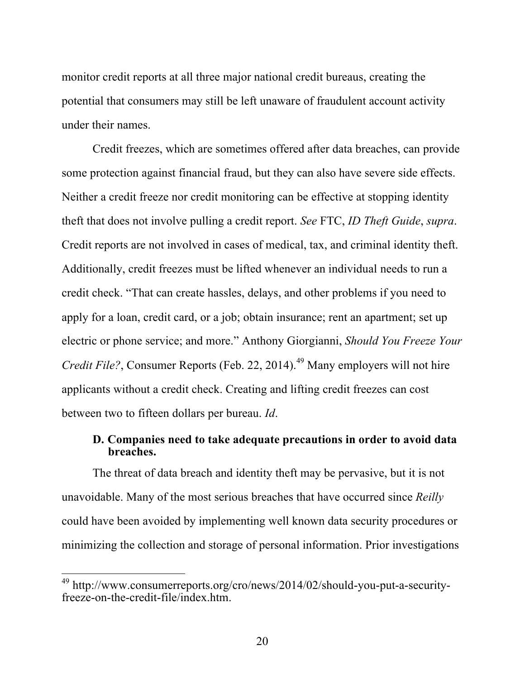monitor credit reports at all three major national credit bureaus, creating the potential that consumers may still be left unaware of fraudulent account activity under their names.

Credit freezes, which are sometimes offered after data breaches, can provide some protection against financial fraud, but they can also have severe side effects. Neither a credit freeze nor credit monitoring can be effective at stopping identity theft that does not involve pulling a credit report. *See* FTC, *ID Theft Guide*, *supra*. Credit reports are not involved in cases of medical, tax, and criminal identity theft. Additionally, credit freezes must be lifted whenever an individual needs to run a credit check. "That can create hassles, delays, and other problems if you need to apply for a loan, credit card, or a job; obtain insurance; rent an apartment; set up electric or phone service; and more." Anthony Giorgianni, *Should You Freeze Your Credit File?*, Consumer Reports (Feb. 22, 2014).<sup>49</sup> Many employers will not hire applicants without a credit check. Creating and lifting credit freezes can cost between two to fifteen dollars per bureau. *Id*.

#### **D. Companies need to take adequate precautions in order to avoid data breaches.**

The threat of data breach and identity theft may be pervasive, but it is not unavoidable. Many of the most serious breaches that have occurred since *Reilly* could have been avoided by implementing well known data security procedures or minimizing the collection and storage of personal information. Prior investigations

<sup>&</sup>lt;sup>49</sup> http://www.consumerreports.org/cro/news/2014/02/should-you-put-a-securityfreeze-on-the-credit-file/index.htm.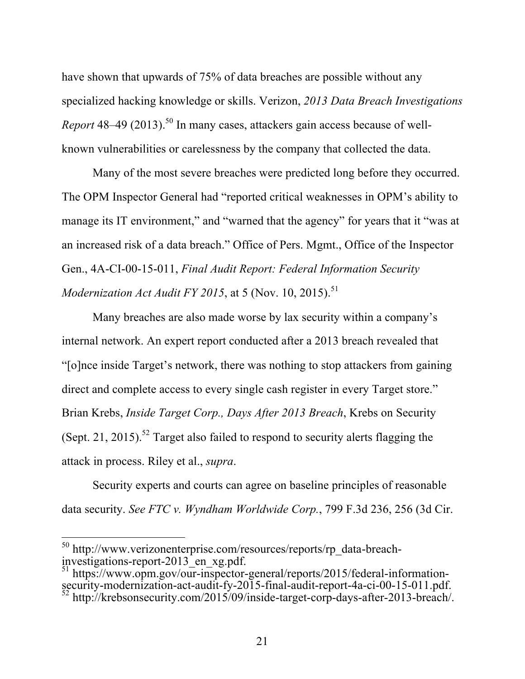have shown that upwards of 75% of data breaches are possible without any specialized hacking knowledge or skills. Verizon, *2013 Data Breach Investigations Report* 48–49 (2013). <sup>50</sup> In many cases, attackers gain access because of wellknown vulnerabilities or carelessness by the company that collected the data.

Many of the most severe breaches were predicted long before they occurred. The OPM Inspector General had "reported critical weaknesses in OPM's ability to manage its IT environment," and "warned that the agency" for years that it "was at an increased risk of a data breach." Office of Pers. Mgmt., Office of the Inspector Gen., 4A-CI-00-15-011, *Final Audit Report: Federal Information Security Modernization Act Audit FY 2015*, at 5 (Nov. 10, 2015). 51

Many breaches are also made worse by lax security within a company's internal network. An expert report conducted after a 2013 breach revealed that "[o]nce inside Target's network, there was nothing to stop attackers from gaining direct and complete access to every single cash register in every Target store." Brian Krebs, *Inside Target Corp., Days After 2013 Breach*, Krebs on Security (Sept. 21, 2015).<sup>52</sup> Target also failed to respond to security alerts flagging the attack in process. Riley et al., *supra*.

Security experts and courts can agree on baseline principles of reasonable data security. *See FTC v. Wyndham Worldwide Corp.*, 799 F.3d 236, 256 (3d Cir.

 $\overline{a}$ 

<sup>50</sup> http://www.verizonenterprise.com/resources/reports/rp\_data-breachinvestigations-report-2013\_en\_xg.pdf.<br><sup>51</sup> https://www.opm.gov/our-inspector-general/reports/2015/federal-information-

security-modernization-act-audit-fy-2015-final-audit-report-4a-ci-00-15-011.pdf.<br><sup>52</sup> http://krebsonsecurity.com/2015/09/inside-target-corp-days-after-2013-breach/.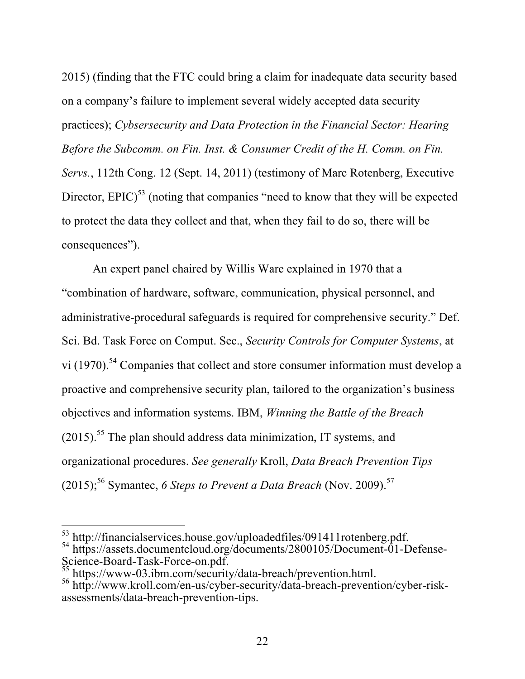2015) (finding that the FTC could bring a claim for inadequate data security based on a company's failure to implement several widely accepted data security practices); *Cybsersecurity and Data Protection in the Financial Sector: Hearing Before the Subcomm. on Fin. Inst. & Consumer Credit of the H. Comm. on Fin. Servs.*, 112th Cong. 12 (Sept. 14, 2011) (testimony of Marc Rotenberg, Executive Director,  $E\text{PIC}$ <sup>53</sup> (noting that companies "need to know that they will be expected to protect the data they collect and that, when they fail to do so, there will be consequences").

An expert panel chaired by Willis Ware explained in 1970 that a "combination of hardware, software, communication, physical personnel, and administrative-procedural safeguards is required for comprehensive security." Def. Sci. Bd. Task Force on Comput. Sec., *Security Controls for Computer Systems*, at vi (1970).<sup>54</sup> Companies that collect and store consumer information must develop a proactive and comprehensive security plan, tailored to the organization's business objectives and information systems. IBM, *Winning the Battle of the Breach*  $(2015)$ <sup>55</sup>. The plan should address data minimization, IT systems, and organizational procedures. *See generally* Kroll, *Data Breach Prevention Tips*  $(2015)$ ;<sup>56</sup> Symantec, 6 Steps to Prevent a Data Breach (Nov. 2009).<sup>57</sup>

 $53$  http://financialservices.house.gov/uploadedfiles/091411rotenberg.pdf. <sup>54</sup> https://assets.documentcloud.org/documents/2800105/Document-01-Defense-<br>Science-Board-Task-Force-on.pdf.  $^{55}$  https://www.02.ibm.sets/2

 $^{55}$  https://www-03.ibm.com/security/data-breach/prevention.html.<br><sup>56</sup> http://www.kroll.com/en-us/cyber-security/data-breach-prevention/cyber-riskassessments/data-breach-prevention-tips.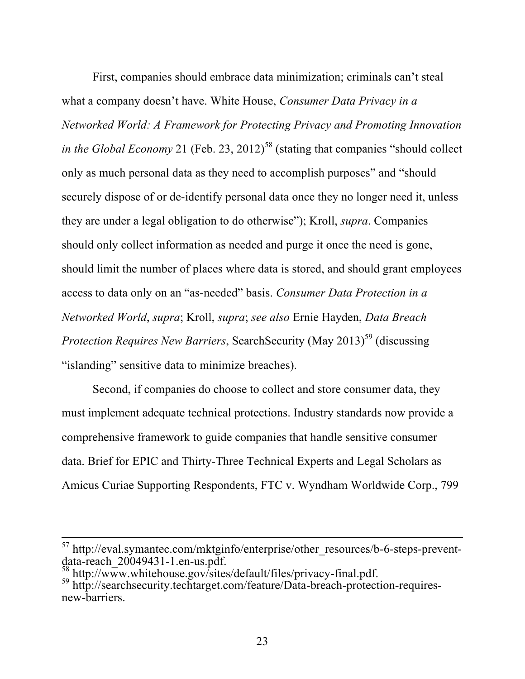First, companies should embrace data minimization; criminals can't steal what a company doesn't have. White House, *Consumer Data Privacy in a Networked World: A Framework for Protecting Privacy and Promoting Innovation in the Global Economy* 21 (Feb. 23, 2012)<sup>58</sup> (stating that companies "should collect only as much personal data as they need to accomplish purposes" and "should securely dispose of or de-identify personal data once they no longer need it, unless they are under a legal obligation to do otherwise"); Kroll, *supra*. Companies should only collect information as needed and purge it once the need is gone, should limit the number of places where data is stored, and should grant employees access to data only on an "as-needed" basis. *Consumer Data Protection in a Networked World*, *supra*; Kroll, *supra*; *see also* Ernie Hayden, *Data Breach Protection Requires New Barriers, SearchSecurity (May 2013)*<sup>59</sup> (discussing "islanding" sensitive data to minimize breaches).

Second, if companies do choose to collect and store consumer data, they must implement adequate technical protections. Industry standards now provide a comprehensive framework to guide companies that handle sensitive consumer data. Brief for EPIC and Thirty-Three Technical Experts and Legal Scholars as Amicus Curiae Supporting Respondents, FTC v. Wyndham Worldwide Corp., 799

 $57$  http://eval.symantec.com/mktginfo/enterprise/other\_resources/b-6-steps-prevent-<br>data-reach 20049431-1.en-us.pdf.

 $\frac{58}{59}$  http://www.whitehouse.gov/sites/default/files/privacy-final.pdf.<br><sup>59</sup> http://searchsecurity.techtarget.com/feature/Data-breach-protection-requiresnew-barriers.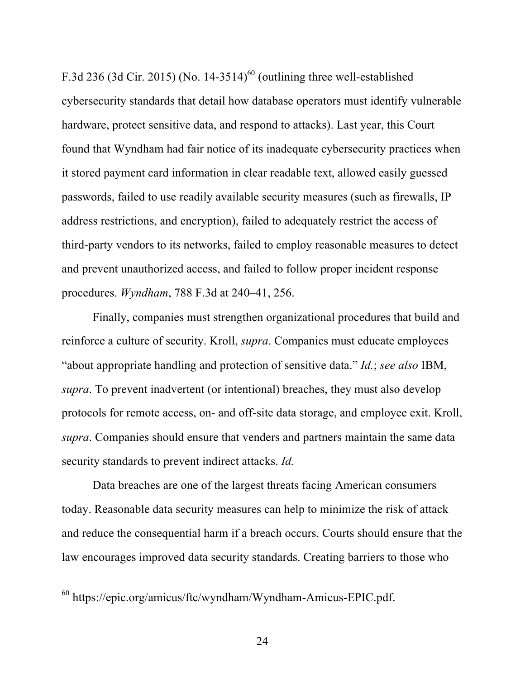F.3d 236 (3d Cir. 2015) (No. 14-3514)<sup>60</sup> (outlining three well-established cybersecurity standards that detail how database operators must identify vulnerable hardware, protect sensitive data, and respond to attacks). Last year, this Court found that Wyndham had fair notice of its inadequate cybersecurity practices when it stored payment card information in clear readable text, allowed easily guessed passwords, failed to use readily available security measures (such as firewalls, IP address restrictions, and encryption), failed to adequately restrict the access of third-party vendors to its networks, failed to employ reasonable measures to detect and prevent unauthorized access, and failed to follow proper incident response procedures. *Wyndham*, 788 F.3d at 240–41, 256.

Finally, companies must strengthen organizational procedures that build and reinforce a culture of security. Kroll, *supra*. Companies must educate employees "about appropriate handling and protection of sensitive data." *Id.*; *see also* IBM, *supra*. To prevent inadvertent (or intentional) breaches, they must also develop protocols for remote access, on- and off-site data storage, and employee exit. Kroll, *supra*. Companies should ensure that venders and partners maintain the same data security standards to prevent indirect attacks. *Id.*

Data breaches are one of the largest threats facing American consumers today. Reasonable data security measures can help to minimize the risk of attack and reduce the consequential harm if a breach occurs. Courts should ensure that the law encourages improved data security standards. Creating barriers to those who

 $\overline{a}$ 

<sup>60</sup> https://epic.org/amicus/ftc/wyndham/Wyndham-Amicus-EPIC.pdf.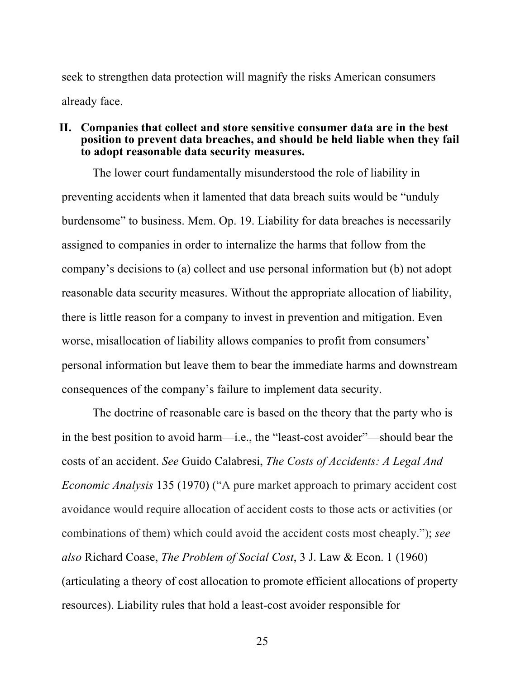seek to strengthen data protection will magnify the risks American consumers already face.

#### **II. Companies that collect and store sensitive consumer data are in the best position to prevent data breaches, and should be held liable when they fail to adopt reasonable data security measures.**

The lower court fundamentally misunderstood the role of liability in preventing accidents when it lamented that data breach suits would be "unduly burdensome" to business. Mem. Op. 19. Liability for data breaches is necessarily assigned to companies in order to internalize the harms that follow from the company's decisions to (a) collect and use personal information but (b) not adopt reasonable data security measures. Without the appropriate allocation of liability, there is little reason for a company to invest in prevention and mitigation. Even worse, misallocation of liability allows companies to profit from consumers' personal information but leave them to bear the immediate harms and downstream consequences of the company's failure to implement data security.

The doctrine of reasonable care is based on the theory that the party who is in the best position to avoid harm—i.e., the "least-cost avoider"—should bear the costs of an accident. *See* Guido Calabresi, *The Costs of Accidents: A Legal And Economic Analysis* 135 (1970) ("A pure market approach to primary accident cost avoidance would require allocation of accident costs to those acts or activities (or combinations of them) which could avoid the accident costs most cheaply."); *see also* Richard Coase, *The Problem of Social Cost*, 3 J. Law & Econ. 1 (1960) (articulating a theory of cost allocation to promote efficient allocations of property resources). Liability rules that hold a least-cost avoider responsible for

25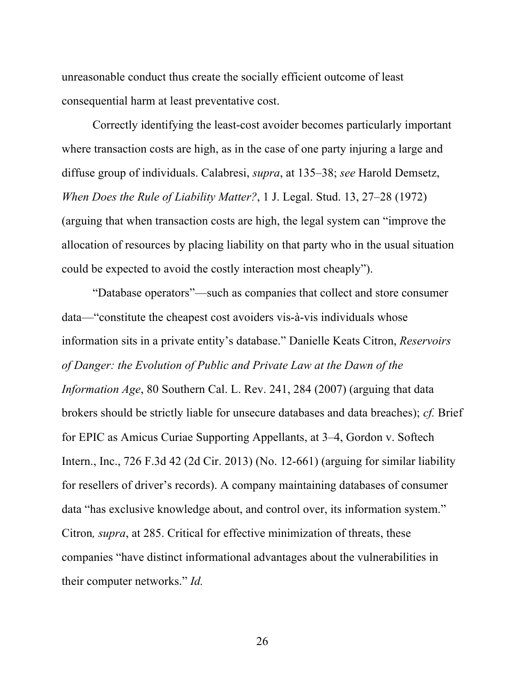unreasonable conduct thus create the socially efficient outcome of least consequential harm at least preventative cost.

Correctly identifying the least-cost avoider becomes particularly important where transaction costs are high, as in the case of one party injuring a large and diffuse group of individuals. Calabresi, *supra*, at 135–38; *see* Harold Demsetz, *When Does the Rule of Liability Matter?*, 1 J. Legal. Stud. 13, 27–28 (1972) (arguing that when transaction costs are high, the legal system can "improve the allocation of resources by placing liability on that party who in the usual situation could be expected to avoid the costly interaction most cheaply").

"Database operators"—such as companies that collect and store consumer data—"constitute the cheapest cost avoiders vis-à-vis individuals whose information sits in a private entity's database." Danielle Keats Citron, *Reservoirs of Danger: the Evolution of Public and Private Law at the Dawn of the Information Age*, 80 Southern Cal. L. Rev. 241, 284 (2007) (arguing that data brokers should be strictly liable for unsecure databases and data breaches); *cf.* Brief for EPIC as Amicus Curiae Supporting Appellants, at 3–4, Gordon v. Softech Intern., Inc., 726 F.3d 42 (2d Cir. 2013) (No. 12-661) (arguing for similar liability for resellers of driver's records). A company maintaining databases of consumer data "has exclusive knowledge about, and control over, its information system." Citron*, supra*, at 285. Critical for effective minimization of threats, these companies "have distinct informational advantages about the vulnerabilities in their computer networks." *Id.*

26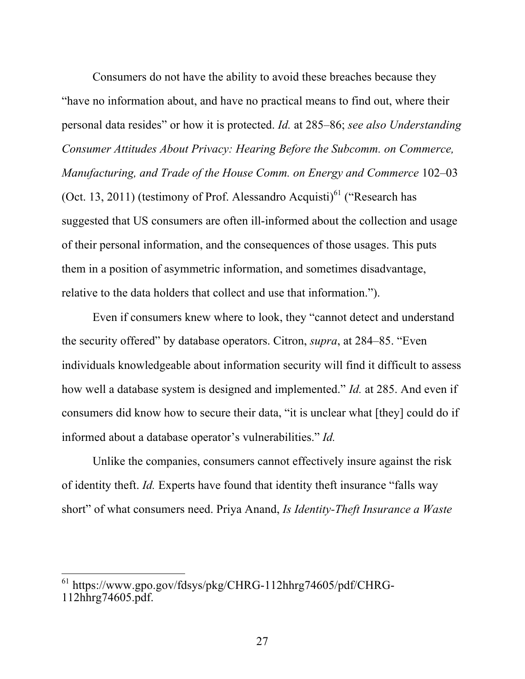Consumers do not have the ability to avoid these breaches because they "have no information about, and have no practical means to find out, where their personal data resides" or how it is protected. *Id.* at 285–86; *see also Understanding Consumer Attitudes About Privacy: Hearing Before the Subcomm. on Commerce, Manufacturing, and Trade of the House Comm. on Energy and Commerce* 102–03 (Oct. 13, 2011) (testimony of Prof. Alessandro Acquisti)<sup>61</sup> ("Research has suggested that US consumers are often ill-informed about the collection and usage of their personal information, and the consequences of those usages. This puts them in a position of asymmetric information, and sometimes disadvantage, relative to the data holders that collect and use that information.").

Even if consumers knew where to look, they "cannot detect and understand the security offered" by database operators. Citron, *supra*, at 284–85. "Even individuals knowledgeable about information security will find it difficult to assess how well a database system is designed and implemented." *Id.* at 285. And even if consumers did know how to secure their data, "it is unclear what [they] could do if informed about a database operator's vulnerabilities." *Id.*

Unlike the companies, consumers cannot effectively insure against the risk of identity theft. *Id.* Experts have found that identity theft insurance "falls way short" of what consumers need. Priya Anand, *Is Identity-Theft Insurance a Waste* 

<sup>61</sup> https://www.gpo.gov/fdsys/pkg/CHRG-112hhrg74605/pdf/CHRG-112hhrg74605.pdf.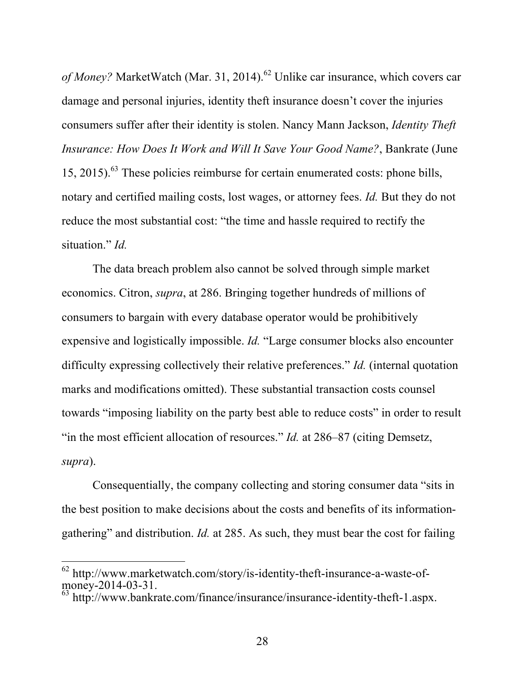*of Money?* MarketWatch (Mar. 31, 2014). <sup>62</sup> Unlike car insurance, which covers car damage and personal injuries, identity theft insurance doesn't cover the injuries consumers suffer after their identity is stolen. Nancy Mann Jackson, *Identity Theft Insurance: How Does It Work and Will It Save Your Good Name?*, Bankrate (June 15, 2015). <sup>63</sup> These policies reimburse for certain enumerated costs: phone bills, notary and certified mailing costs, lost wages, or attorney fees. *Id.* But they do not reduce the most substantial cost: "the time and hassle required to rectify the situation." *Id.*

The data breach problem also cannot be solved through simple market economics. Citron, *supra*, at 286. Bringing together hundreds of millions of consumers to bargain with every database operator would be prohibitively expensive and logistically impossible. *Id.* "Large consumer blocks also encounter difficulty expressing collectively their relative preferences." *Id.* (internal quotation marks and modifications omitted). These substantial transaction costs counsel towards "imposing liability on the party best able to reduce costs" in order to result "in the most efficient allocation of resources." *Id.* at 286–87 (citing Demsetz, *supra*).

Consequentially, the company collecting and storing consumer data "sits in the best position to make decisions about the costs and benefits of its informationgathering" and distribution. *Id.* at 285. As such, they must bear the cost for failing

 $62$  http://www.marketwatch.com/story/is-identity-theft-insurance-a-waste-ofmoney-2014-03-31.

 $63$  http://www.bankrate.com/finance/insurance/insurance-identity-theft-1.aspx.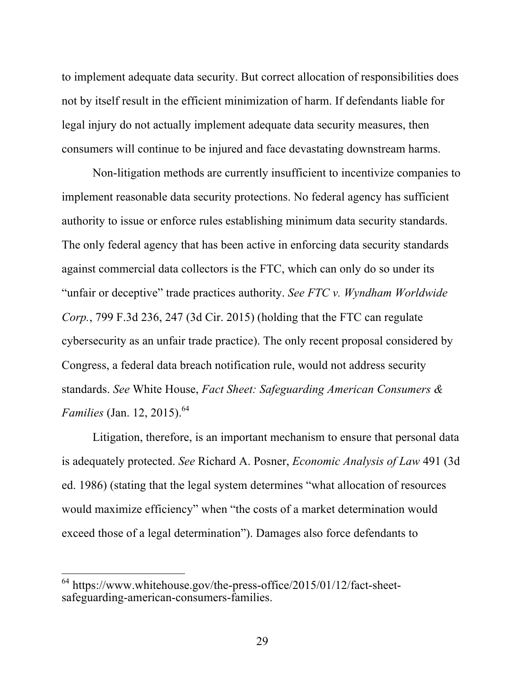to implement adequate data security. But correct allocation of responsibilities does not by itself result in the efficient minimization of harm. If defendants liable for legal injury do not actually implement adequate data security measures, then consumers will continue to be injured and face devastating downstream harms.

Non-litigation methods are currently insufficient to incentivize companies to implement reasonable data security protections. No federal agency has sufficient authority to issue or enforce rules establishing minimum data security standards. The only federal agency that has been active in enforcing data security standards against commercial data collectors is the FTC, which can only do so under its "unfair or deceptive" trade practices authority. *See FTC v. Wyndham Worldwide Corp.*, 799 F.3d 236, 247 (3d Cir. 2015) (holding that the FTC can regulate cybersecurity as an unfair trade practice). The only recent proposal considered by Congress, a federal data breach notification rule, would not address security standards. *See* White House, *Fact Sheet: Safeguarding American Consumers & Families* (Jan. 12, 2015). 64

Litigation, therefore, is an important mechanism to ensure that personal data is adequately protected. *See* Richard A. Posner, *Economic Analysis of Law* 491 (3d ed. 1986) (stating that the legal system determines "what allocation of resources would maximize efficiency" when "the costs of a market determination would exceed those of a legal determination"). Damages also force defendants to

 $64$  https://www.whitehouse.gov/the-press-office/2015/01/12/fact-sheetsafeguarding-american-consumers-families.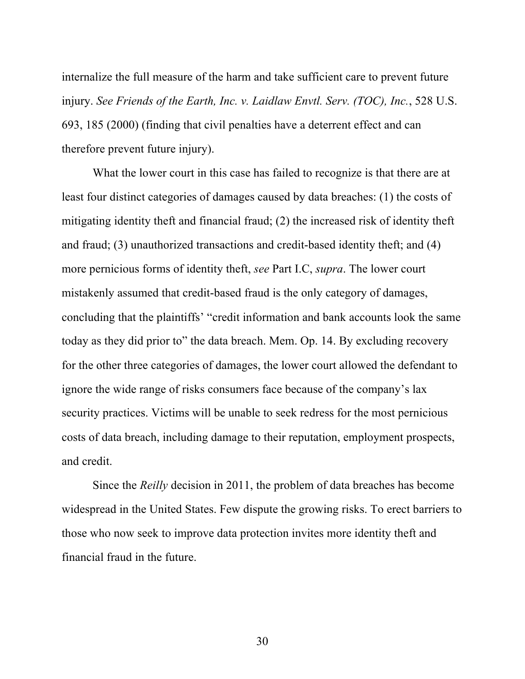internalize the full measure of the harm and take sufficient care to prevent future injury. *See Friends of the Earth, Inc. v. Laidlaw Envtl. Serv. (TOC), Inc.*, 528 U.S. 693, 185 (2000) (finding that civil penalties have a deterrent effect and can therefore prevent future injury).

What the lower court in this case has failed to recognize is that there are at least four distinct categories of damages caused by data breaches: (1) the costs of mitigating identity theft and financial fraud; (2) the increased risk of identity theft and fraud; (3) unauthorized transactions and credit-based identity theft; and (4) more pernicious forms of identity theft, *see* Part I.C, *supra*. The lower court mistakenly assumed that credit-based fraud is the only category of damages, concluding that the plaintiffs' "credit information and bank accounts look the same today as they did prior to" the data breach. Mem. Op. 14. By excluding recovery for the other three categories of damages, the lower court allowed the defendant to ignore the wide range of risks consumers face because of the company's lax security practices. Victims will be unable to seek redress for the most pernicious costs of data breach, including damage to their reputation, employment prospects, and credit.

Since the *Reilly* decision in 2011, the problem of data breaches has become widespread in the United States. Few dispute the growing risks. To erect barriers to those who now seek to improve data protection invites more identity theft and financial fraud in the future.

30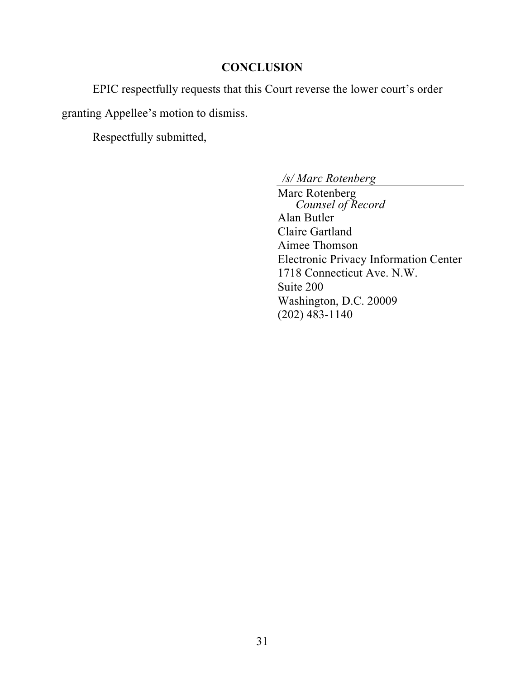## **CONCLUSION**

EPIC respectfully requests that this Court reverse the lower court's order

granting Appellee's motion to dismiss.

Respectfully submitted,

*/s/ Marc Rotenberg*

Marc Rotenberg *Counsel of Record* Alan Butler Claire Gartland Aimee Thomson Electronic Privacy Information Center 1718 Connecticut Ave. N.W. Suite 200 Washington, D.C. 20009 (202) 483-1140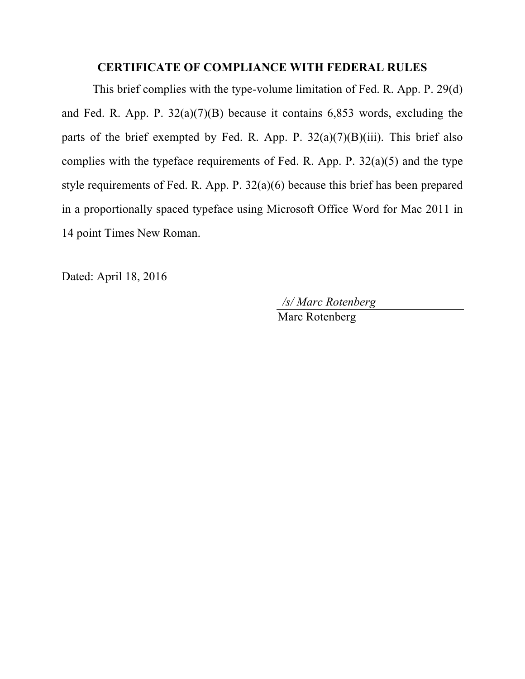### **CERTIFICATE OF COMPLIANCE WITH FEDERAL RULES**

This brief complies with the type-volume limitation of Fed. R. App. P. 29(d) and Fed. R. App. P.  $32(a)(7)(B)$  because it contains 6,853 words, excluding the parts of the brief exempted by Fed. R. App. P.  $32(a)(7)(B)(iii)$ . This brief also complies with the typeface requirements of Fed. R. App. P.  $32(a)(5)$  and the type style requirements of Fed. R. App. P. 32(a)(6) because this brief has been prepared in a proportionally spaced typeface using Microsoft Office Word for Mac 2011 in 14 point Times New Roman.

Dated: April 18, 2016

*/s/ Marc Rotenberg*

Marc Rotenberg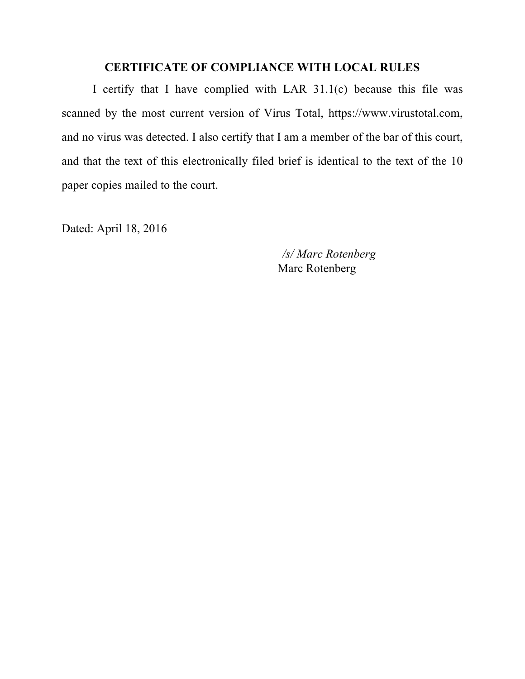## **CERTIFICATE OF COMPLIANCE WITH LOCAL RULES**

I certify that I have complied with LAR 31.1(c) because this file was scanned by the most current version of Virus Total, https://www.virustotal.com, and no virus was detected. I also certify that I am a member of the bar of this court, and that the text of this electronically filed brief is identical to the text of the 10 paper copies mailed to the court.

Dated: April 18, 2016

*/s/ Marc Rotenberg*

Marc Rotenberg